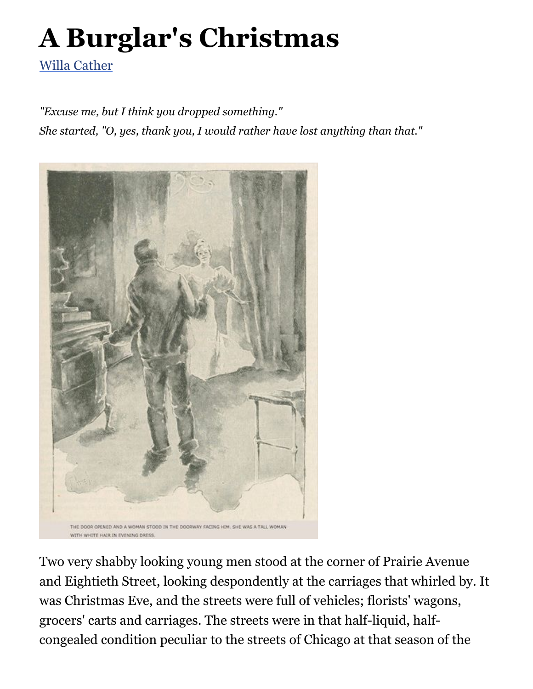## **A Burglar's Christmas**

[Willa Cather](https://americanliterature.com/author/willa-cather)

*"Excuse me, but I think you dropped something." She started, "O, yes, thank you, I would rather have lost anything than that."*



Two very shabby looking young men stood at the corner of Prairie Avenue and Eightieth Street, looking despondently at the carriages that whirled by. It was Christmas Eve, and the streets were full of vehicles; florists' wagons, grocers' carts and carriages. The streets were in that half-liquid, halfcongealed condition peculiar to the streets of Chicago at that season of the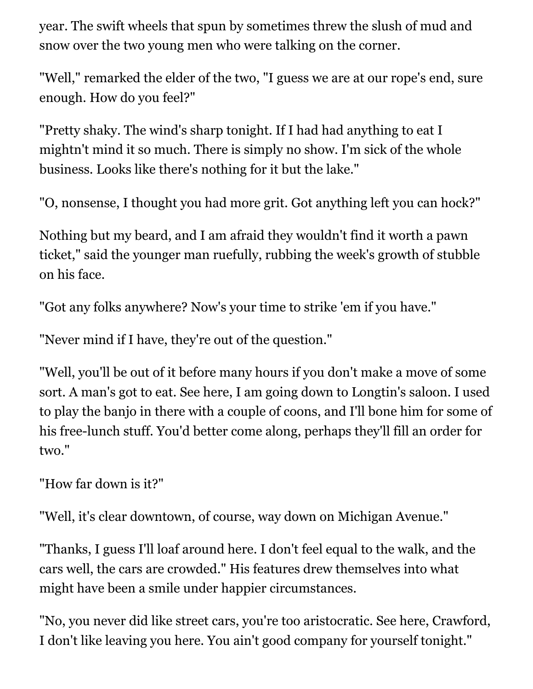year. The swift wheels that spun by sometimes threw the slush of mud and snow over the two young men who were talking on the corner.

"Well," remarked the elder of the two, "I guess we are at our rope's end, sure enough. How do you feel?"

"Pretty shaky. The wind's sharp tonight. If I had had anything to eat I mightn't mind it so much. There is simply no show. I'm sick of the whole business. Looks like there's nothing for it but the lake."

"O, nonsense, I thought you had more grit. Got anything left you can hock?"

Nothing but my beard, and I am afraid they wouldn't find it worth a pawn ticket," said the younger man ruefully, rubbing the week's growth of stubble on his face.

"Got any folks anywhere? Now's your time to strike 'em if you have."

"Never mind if I have, they're out of the question."

"Well, you'll be out of it before many hours if you don't make a move of some sort. A man's got to eat. See here, I am going down to Longtin's saloon. I used to play the banjo in there with a couple of coons, and I'll bone him for some of his free-lunch stuff. You'd better come along, perhaps they'll fill an order for two."

"How far down is it?"

"Well, it's clear downtown, of course, way down on Michigan Avenue."

"Thanks, I guess I'll loaf around here. I don't feel equal to the walk, and the cars well, the cars are crowded." His features drew themselves into what might have been a smile under happier circumstances.

"No, you never did like street cars, you're too aristocratic. See here, Crawford, I don't like leaving you here. You ain't good company for yourself tonight."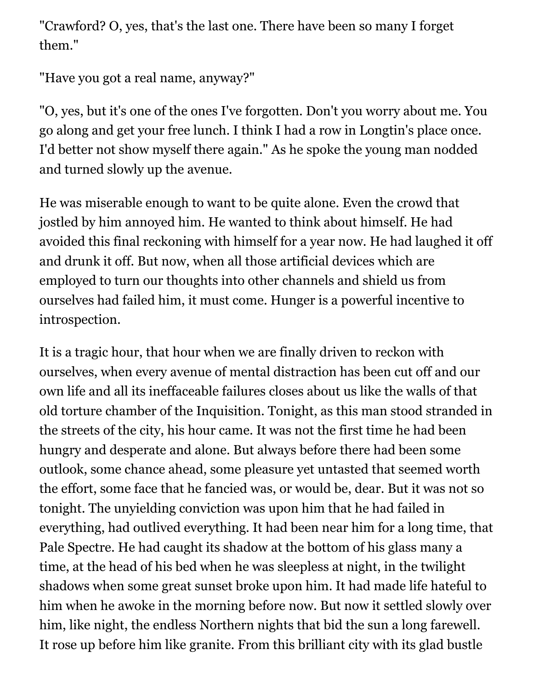"Crawford? O, yes, that's the last one. There have been so many I forget them."

"Have you got a real name, anyway?"

"O, yes, but it's one of the ones I've forgotten. Don't you worry about me. You go along and get your free lunch. I think I had a row in Longtin's place once. I'd better not show myself there again." As he spoke the young man nodded and turned slowly up the avenue.

He was miserable enough to want to be quite alone. Even the crowd that jostled by him annoyed him. He wanted to think about himself. He had avoided this final reckoning with himself for a year now. He had laughed it off and drunk it off. But now, when all those artificial devices which are employed to turn our thoughts into other channels and shield us from ourselves had failed him, it must come. Hunger is a powerful incentive to introspection.

It is a tragic hour, that hour when we are finally driven to reckon with ourselves, when every avenue of mental distraction has been cut off and our own life and all its ineffaceable failures closes about us like the walls of that old torture chamber of the Inquisition. Tonight, as this man stood stranded in the streets of the city, his hour came. It was not the first time he had been hungry and desperate and alone. But always before there had been some outlook, some chance ahead, some pleasure yet untasted that seemed worth the effort, some face that he fancied was, or would be, dear. But it was not so tonight. The unyielding conviction was upon him that he had failed in everything, had outlived everything. It had been near him for a long time, that Pale Spectre. He had caught its shadow at the bottom of his glass many a time, at the head of his bed when he was sleepless at night, in the twilight shadows when some great sunset broke upon him. It had made life hateful to him when he awoke in the morning before now. But now it settled slowly over him, like night, the endless Northern nights that bid the sun a long farewell. It rose up before him like granite. From this brilliant city with its glad bustle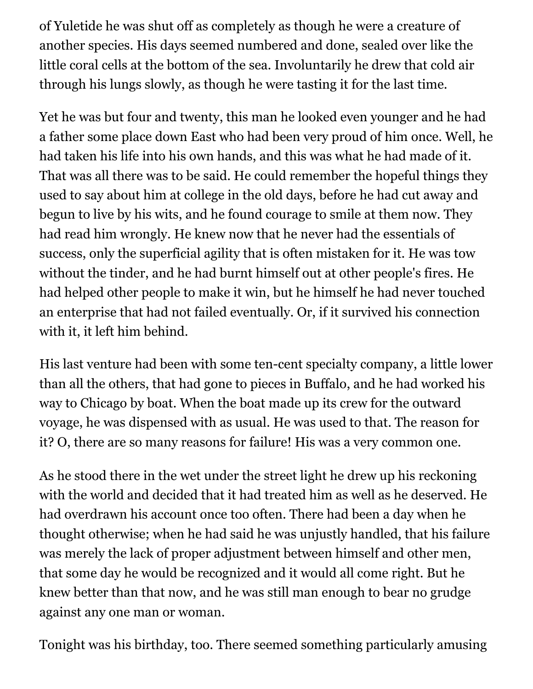of Yuletide he was shut off as completely as though he were a creature of another species. His days seemed numbered and done, sealed over like the little coral cells at the bottom of the sea. Involuntarily he drew that cold air through his lungs slowly, as though he were tasting it for the last time.

Yet he was but four and twenty, this man he looked even younger and he had a father some place down East who had been very proud of him once. Well, he had taken his life into his own hands, and this was what he had made of it. That was all there was to be said. He could remember the hopeful things they used to say about him at college in the old days, before he had cut away and begun to live by his wits, and he found courage to smile at them now. They had read him wrongly. He knew now that he never had the essentials of success, only the superficial agility that is often mistaken for it. He was tow without the tinder, and he had burnt himself out at other people's fires. He had helped other people to make it win, but he himself he had never touched an enterprise that had not failed eventually. Or, if it survived his connection with it, it left him behind.

His last venture had been with some ten-cent specialty company, a little lower than all the others, that had gone to pieces in Buffalo, and he had worked his way to Chicago by boat. When the boat made up its crew for the outward voyage, he was dispensed with as usual. He was used to that. The reason for it? O, there are so many reasons for failure! His was a very common one.

As he stood there in the wet under the street light he drew up his reckoning with the world and decided that it had treated him as well as he deserved. He had overdrawn his account once too often. There had been a day when he thought otherwise; when he had said he was unjustly handled, that his failure was merely the lack of proper adjustment between himself and other men, that some day he would be recognized and it would all come right. But he knew better than that now, and he was still man enough to bear no grudge against any one man or woman.

Tonight was his birthday, too. There seemed something particularly amusing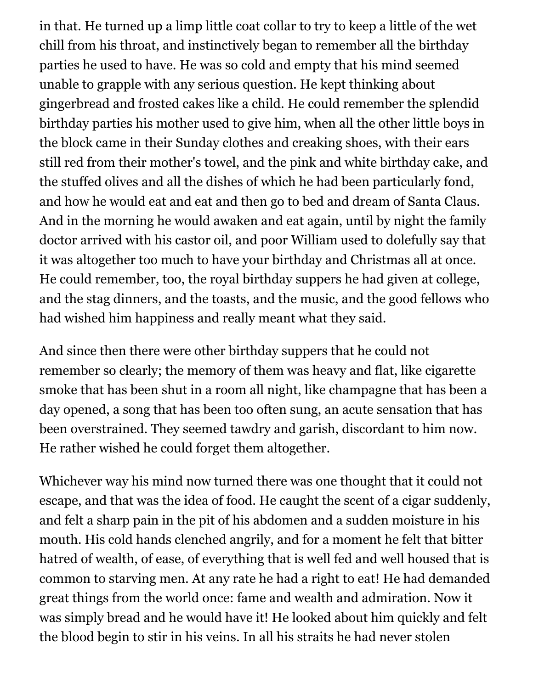in that. He turned up a limp little coat collar to try to keep a little of the wet chill from his throat, and instinctively began to remember all the birthday parties he used to have. He was so cold and empty that his mind seemed unable to grapple with any serious question. He kept thinking about gingerbread and frosted cakes like a child. He could remember the splendid birthday parties his mother used to give him, when all the other little boys in the block came in their Sunday clothes and creaking shoes, with their ears still red from their mother's towel, and the pink and white birthday cake, and the stuffed olives and all the dishes of which he had been particularly fond, and how he would eat and eat and then go to bed and dream of Santa Claus. And in the morning he would awaken and eat again, until by night the family doctor arrived with his castor oil, and poor William used to dolefully say that it was altogether too much to have your birthday and Christmas all at once. He could remember, too, the royal birthday suppers he had given at college, and the stag dinners, and the toasts, and the music, and the good fellows who had wished him happiness and really meant what they said.

And since then there were other birthday suppers that he could not remember so clearly; the memory of them was heavy and flat, like cigarette smoke that has been shut in a room all night, like champagne that has been a day opened, a song that has been too often sung, an acute sensation that has been overstrained. They seemed tawdry and garish, discordant to him now. He rather wished he could forget them altogether.

Whichever way his mind now turned there was one thought that it could not escape, and that was the idea of food. He caught the scent of a cigar suddenly, and felt a sharp pain in the pit of his abdomen and a sudden moisture in his mouth. His cold hands clenched angrily, and for a moment he felt that bitter hatred of wealth, of ease, of everything that is well fed and well housed that is common to starving men. At any rate he had a right to eat! He had demanded great things from the world once: fame and wealth and admiration. Now it was simply bread and he would have it! He looked about him quickly and felt the blood begin to stir in his veins. In all his straits he had never stolen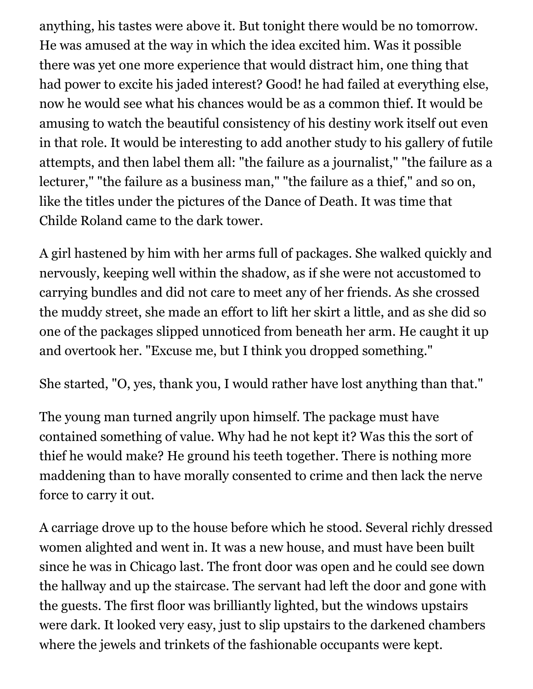anything, his tastes were above it. But tonight there would be no tomorrow. He was amused at the way in which the idea excited him. Was it possible there was yet one more experience that would distract him, one thing that had power to excite his jaded interest? Good! he had failed at everything else, now he would see what his chances would be as a common thief. It would be amusing to watch the beautiful consistency of his destiny work itself out even in that role. It would be interesting to add another study to his gallery of futile attempts, and then label them all: "the failure as a journalist," "the failure as a lecturer," "the failure as a business man," "the failure as a thief," and so on, like the titles under the pictures of the Dance of Death. It was time that Childe Roland came to the dark tower.

A girl hastened by him with her arms full of packages. She walked quickly and nervously, keeping well within the shadow, as if she were not accustomed to carrying bundles and did not care to meet any of her friends. As she crossed the muddy street, she made an effort to lift her skirt a little, and as she did so one of the packages slipped unnoticed from beneath her arm. He caught it up and overtook her. "Excuse me, but I think you dropped something."

She started, "O, yes, thank you, I would rather have lost anything than that."

The young man turned angrily upon himself. The package must have contained something of value. Why had he not kept it? Was this the sort of thief he would make? He ground his teeth together. There is nothing more maddening than to have morally consented to crime and then lack the nerve force to carry it out.

A carriage drove up to the house before which he stood. Several richly dressed women alighted and went in. It was a new house, and must have been built since he was in Chicago last. The front door was open and he could see down the hallway and up the staircase. The servant had left the door and gone with the guests. The first floor was brilliantly lighted, but the windows upstairs were dark. It looked very easy, just to slip upstairs to the darkened chambers where the jewels and trinkets of the fashionable occupants were kept.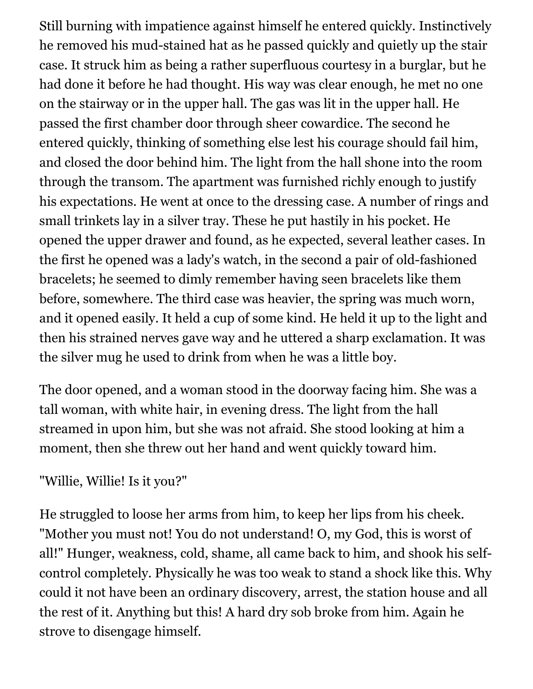Still burning with impatience against himself he entered quickly. Instinctively he removed his mud-stained hat as he passed quickly and quietly up the stair case. It struck him as being a rather superfluous courtesy in a burglar, but he had done it before he had thought. His way was clear enough, he met no one on the stairway or in the upper hall. The gas was lit in the upper hall. He passed the first chamber door through sheer cowardice. The second he entered quickly, thinking of something else lest his courage should fail him, and closed the door behind him. The light from the hall shone into the room through the transom. The apartment was furnished richly enough to justify his expectations. He went at once to the dressing case. A number of rings and small trinkets lay in a silver tray. These he put hastily in his pocket. He opened the upper drawer and found, as he expected, several leather cases. In the first he opened was a lady's watch, in the second a pair of old-fashioned bracelets; he seemed to dimly remember having seen bracelets like them before, somewhere. The third case was heavier, the spring was much worn, and it opened easily. It held a cup of some kind. He held it up to the light and then his strained nerves gave way and he uttered a sharp exclamation. It was the silver mug he used to drink from when he was a little boy.

The door opened, and a woman stood in the doorway facing him. She was a tall woman, with white hair, in evening dress. The light from the hall streamed in upon him, but she was not afraid. She stood looking at him a moment, then she threw out her hand and went quickly toward him.

"Willie, Willie! Is it you?"

He struggled to loose her arms from him, to keep her lips from his cheek. "Mother you must not! You do not understand! O, my God, this is worst of all!" Hunger, weakness, cold, shame, all came back to him, and shook his selfcontrol completely. Physically he was too weak to stand a shock like this. Why could it not have been an ordinary discovery, arrest, the station house and all the rest of it. Anything but this! A hard dry sob broke from him. Again he strove to disengage himself.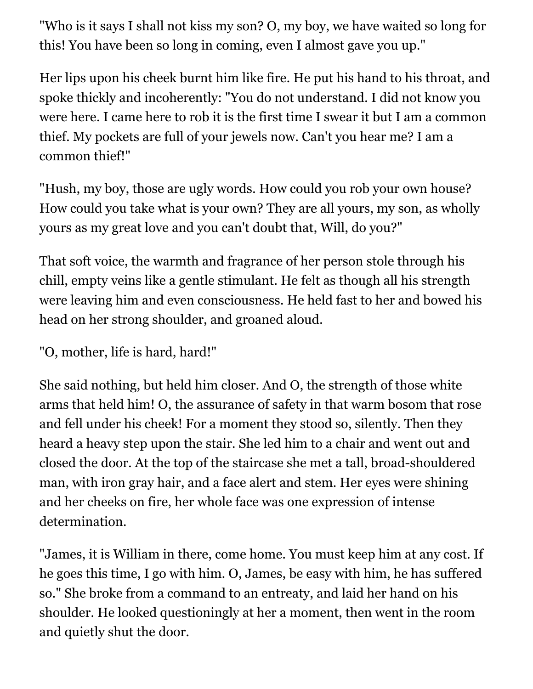"Who is it says I shall not kiss my son? O, my boy, we have waited so long for this! You have been so long in coming, even I almost gave you up."

Her lips upon his cheek burnt him like fire. He put his hand to his throat, and spoke thickly and incoherently: "You do not understand. I did not know you were here. I came here to rob it is the first time I swear it but I am a common thief. My pockets are full of your jewels now. Can't you hear me? I am a common thief!"

"Hush, my boy, those are ugly words. How could you rob your own house? How could you take what is your own? They are all yours, my son, as wholly yours as my great love and you can't doubt that, Will, do you?"

That soft voice, the warmth and fragrance of her person stole through his chill, empty veins like a gentle stimulant. He felt as though all his strength were leaving him and even consciousness. He held fast to her and bowed his head on her strong shoulder, and groaned aloud.

"O, mother, life is hard, hard!"

She said nothing, but held him closer. And O, the strength of those white arms that held him! O, the assurance of safety in that warm bosom that rose and fell under his cheek! For a moment they stood so, silently. Then they heard a heavy step upon the stair. She led him to a chair and went out and closed the door. At the top of the staircase she met a tall, broad-shouldered man, with iron gray hair, and a face alert and stem. Her eyes were shining and her cheeks on fire, her whole face was one expression of intense determination.

"James, it is William in there, come home. You must keep him at any cost. If he goes this time, I go with him. O, James, be easy with him, he has suffered so." She broke from a command to an entreaty, and laid her hand on his shoulder. He looked questioningly at her a moment, then went in the room and quietly shut the door.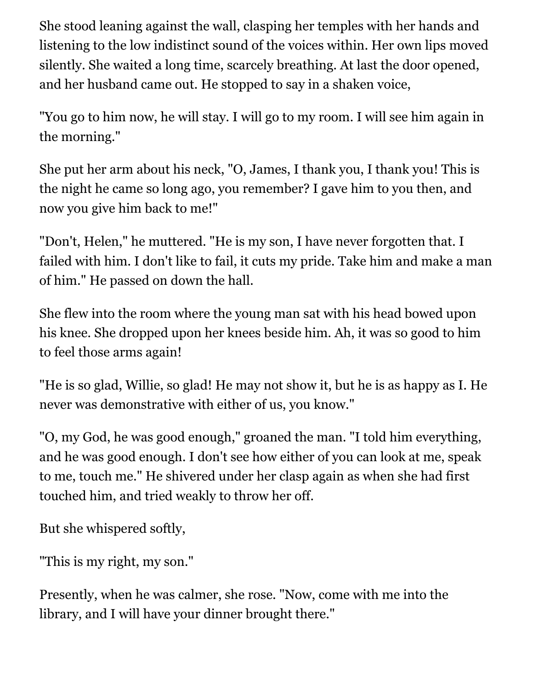She stood leaning against the wall, clasping her temples with her hands and listening to the low indistinct sound of the voices within. Her own lips moved silently. She waited a long time, scarcely breathing. At last the door opened, and her husband came out. He stopped to say in a shaken voice,

"You go to him now, he will stay. I will go to my room. I will see him again in the morning."

She put her arm about his neck, "O, James, I thank you, I thank you! This is the night he came so long ago, you remember? I gave him to you then, and now you give him back to me!"

"Don't, Helen," he muttered. "He is my son, I have never forgotten that. I failed with him. I don't like to fail, it cuts my pride. Take him and make a man of him." He passed on down the hall.

She flew into the room where the young man sat with his head bowed upon his knee. She dropped upon her knees beside him. Ah, it was so good to him to feel those arms again!

"He is so glad, Willie, so glad! He may not show it, but he is as happy as I. He never was demonstrative with either of us, you know."

"O, my God, he was good enough," groaned the man. "I told him everything, and he was good enough. I don't see how either of you can look at me, speak to me, touch me." He shivered under her clasp again as when she had first touched him, and tried weakly to throw her off.

But she whispered softly,

"This is my right, my son."

Presently, when he was calmer, she rose. "Now, come with me into the library, and I will have your dinner brought there."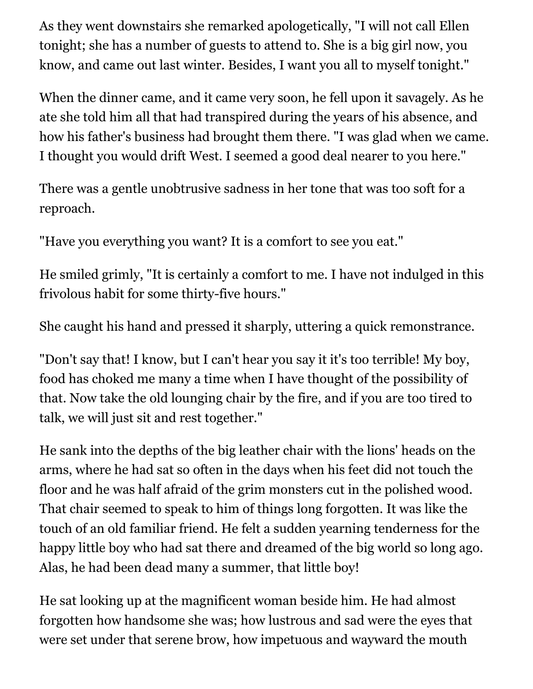As they went downstairs she remarked apologetically, "I will not call Ellen tonight; she has a number of guests to attend to. She is a big girl now, you know, and came out last winter. Besides, I want you all to myself tonight."

When the dinner came, and it came very soon, he fell upon it savagely. As he ate she told him all that had transpired during the years of his absence, and how his father's business had brought them there. "I was glad when we came. I thought you would drift West. I seemed a good deal nearer to you here."

There was a gentle unobtrusive sadness in her tone that was too soft for a reproach.

"Have you everything you want? It is a comfort to see you eat."

He smiled grimly, "It is certainly a comfort to me. I have not indulged in this frivolous habit for some thirty-five hours."

She caught his hand and pressed it sharply, uttering a quick remonstrance.

"Don't say that! I know, but I can't hear you say it it's too terrible! My boy, food has choked me many a time when I have thought of the possibility of that. Now take the old lounging chair by the fire, and if you are too tired to talk, we will just sit and rest together."

He sank into the depths of the big leather chair with the lions' heads on the arms, where he had sat so often in the days when his feet did not touch the floor and he was half afraid of the grim monsters cut in the polished wood. That chair seemed to speak to him of things long forgotten. It was like the touch of an old familiar friend. He felt a sudden yearning tenderness for the happy little boy who had sat there and dreamed of the big world so long ago. Alas, he had been dead many a summer, that little boy!

He sat looking up at the magnificent woman beside him. He had almost forgotten how handsome she was; how lustrous and sad were the eyes that were set under that serene brow, how impetuous and wayward the mouth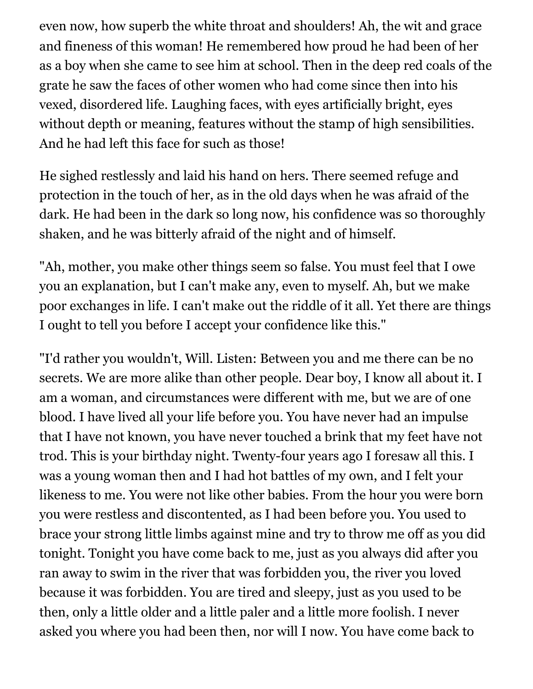even now, how superb the white throat and shoulders! Ah, the wit and grace and fineness of this woman! He remembered how proud he had been of her as a boy when she came to see him at school. Then in the deep red coals of the grate he saw the faces of other women who had come since then into his vexed, disordered life. Laughing faces, with eyes artificially bright, eyes without depth or meaning, features without the stamp of high sensibilities. And he had left this face for such as those!

He sighed restlessly and laid his hand on hers. There seemed refuge and protection in the touch of her, as in the old days when he was afraid of the dark. He had been in the dark so long now, his confidence was so thoroughly shaken, and he was bitterly afraid of the night and of himself.

"Ah, mother, you make other things seem so false. You must feel that I owe you an explanation, but I can't make any, even to myself. Ah, but we make poor exchanges in life. I can't make out the riddle of it all. Yet there are things I ought to tell you before I accept your confidence like this."

"I'd rather you wouldn't, Will. Listen: Between you and me there can be no secrets. We are more alike than other people. Dear boy, I know all about it. I am a woman, and circumstances were different with me, but we are of one blood. I have lived all your life before you. You have never had an impulse that I have not known, you have never touched a brink that my feet have not trod. This is your birthday night. Twenty-four years ago I foresaw all this. I was a young woman then and I had hot battles of my own, and I felt your likeness to me. You were not like other babies. From the hour you were born you were restless and discontented, as I had been before you. You used to brace your strong little limbs against mine and try to throw me off as you did tonight. Tonight you have come back to me, just as you always did after you ran away to swim in the river that was forbidden you, the river you loved because it was forbidden. You are tired and sleepy, just as you used to be then, only a little older and a little paler and a little more foolish. I never asked you where you had been then, nor will I now. You have come back to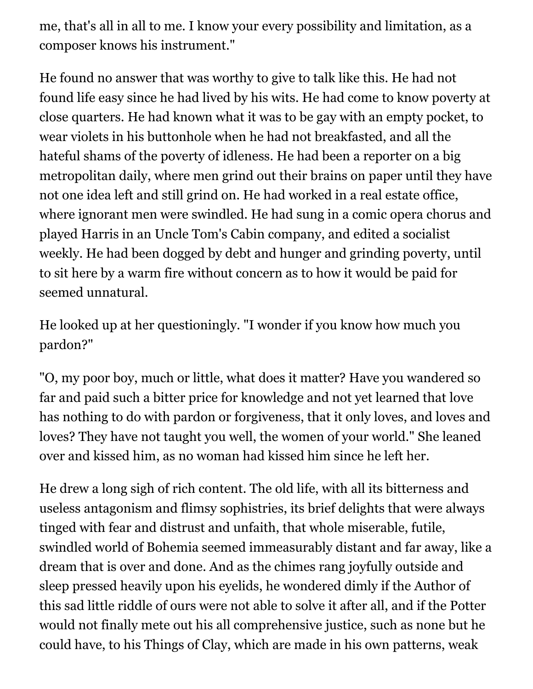me, that's all in all to me. I know your every possibility and limitation, as a composer knows his instrument."

He found no answer that was worthy to give to talk like this. He had not found life easy since he had lived by his wits. He had come to know poverty at close quarters. He had known what it was to be gay with an empty pocket, to wear violets in his buttonhole when he had not breakfasted, and all the hateful shams of the poverty of idleness. He had been a reporter on a big metropolitan daily, where men grind out their brains on paper until they have not one idea left and still grind on. He had worked in a real estate office, where ignorant men were swindled. He had sung in a comic opera chorus and played Harris in an Uncle Tom's Cabin company, and edited a socialist weekly. He had been dogged by debt and hunger and grinding poverty, until to sit here by a warm fire without concern as to how it would be paid for seemed unnatural.

He looked up at her questioningly. "I wonder if you know how much you pardon?"

"O, my poor boy, much or little, what does it matter? Have you wandered so far and paid such a bitter price for knowledge and not yet learned that love has nothing to do with pardon or forgiveness, that it only loves, and loves and loves? They have not taught you well, the women of your world." She leaned over and kissed him, as no woman had kissed him since he left her.

He drew a long sigh of rich content. The old life, with all its bitterness and useless antagonism and flimsy sophistries, its brief delights that were always tinged with fear and distrust and unfaith, that whole miserable, futile, swindled world of Bohemia seemed immeasurably distant and far away, like a dream that is over and done. And as the chimes rang joyfully outside and sleep pressed heavily upon his eyelids, he wondered dimly if the Author of this sad little riddle of ours were not able to solve it after all, and if the Potter would not finally mete out his all comprehensive justice, such as none but he could have, to his Things of Clay, which are made in his own patterns, weak